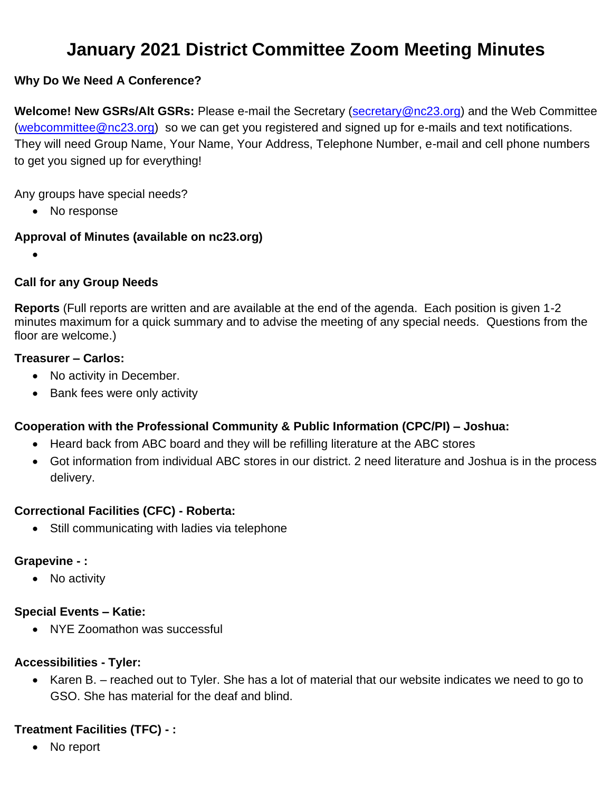# **January 2021 District Committee Zoom Meeting Minutes**

## **Why Do We Need A Conference?**

**Welcome! New GSRs/Alt GSRs:** Please e-mail the Secretary [\(secretary@nc23.org\)](mailto:secretary@nc23.org) and the Web Committee [\(webcommittee@nc23.org\)](mailto:webcommittee@nc23.org) so we can get you registered and signed up for e-mails and text notifications. They will need Group Name, Your Name, Your Address, Telephone Number, e-mail and cell phone numbers to get you signed up for everything!

Any groups have special needs?

• No response

#### **Approval of Minutes (available on nc23.org)**

•

#### **Call for any Group Needs**

**Reports** (Full reports are written and are available at the end of the agenda. Each position is given 1-2 minutes maximum for a quick summary and to advise the meeting of any special needs. Questions from the floor are welcome.)

#### **Treasurer – Carlos:**

- No activity in December.
- Bank fees were only activity

#### **Cooperation with the Professional Community & Public Information (CPC/PI) – Joshua:**

- Heard back from ABC board and they will be refilling literature at the ABC stores
- Got information from individual ABC stores in our district. 2 need literature and Joshua is in the process delivery.

#### **Correctional Facilities (CFC) - Roberta:**

• Still communicating with ladies via telephone

#### **Grapevine - :**

• No activity

#### **Special Events – Katie:**

• NYE Zoomathon was successful

#### **Accessibilities - Tyler:**

• Karen B. – reached out to Tyler. She has a lot of material that our website indicates we need to go to GSO. She has material for the deaf and blind.

#### **Treatment Facilities (TFC) - :**

• No report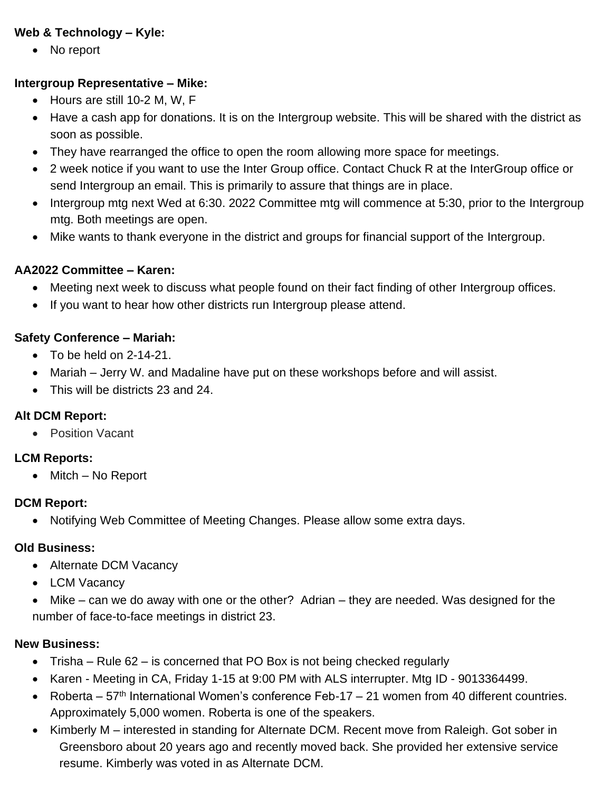## **Web & Technology – Kyle:**

• No report

#### **Intergroup Representative – Mike:**

- Hours are still 10-2 M, W, F
- Have a cash app for donations. It is on the Intergroup website. This will be shared with the district as soon as possible.
- They have rearranged the office to open the room allowing more space for meetings.
- 2 week notice if you want to use the Inter Group office. Contact Chuck R at the InterGroup office or send Intergroup an email. This is primarily to assure that things are in place.
- Intergroup mtg next Wed at 6:30. 2022 Committee mtg will commence at 5:30, prior to the Intergroup mtg. Both meetings are open.
- Mike wants to thank everyone in the district and groups for financial support of the Intergroup.

#### **AA2022 Committee – Karen:**

- Meeting next week to discuss what people found on their fact finding of other Intergroup offices.
- If you want to hear how other districts run Intergroup please attend.

## **Safety Conference – Mariah:**

- $\bullet$  To be held on 2-14-21.
- Mariah Jerry W. and Madaline have put on these workshops before and will assist.
- This will be districts 23 and 24.

#### **Alt DCM Report:**

• Position Vacant

## **LCM Reports:**

• Mitch – No Report

## **DCM Report:**

• Notifying Web Committee of Meeting Changes. Please allow some extra days.

#### **Old Business:**

- Alternate DCM Vacancy
- LCM Vacancy
- Mike can we do away with one or the other? Adrian they are needed. Was designed for the number of face-to-face meetings in district 23.

#### **New Business:**

- Trisha Rule 62 is concerned that PO Box is not being checked regularly
- Karen Meeting in CA, Friday 1-15 at 9:00 PM with ALS interrupter. Mtg ID 9013364499.
- Roberta  $57<sup>th</sup>$  International Women's conference Feb-17 21 women from 40 different countries. Approximately 5,000 women. Roberta is one of the speakers.
- Kimberly M interested in standing for Alternate DCM. Recent move from Raleigh. Got sober in Greensboro about 20 years ago and recently moved back. She provided her extensive service resume. Kimberly was voted in as Alternate DCM.